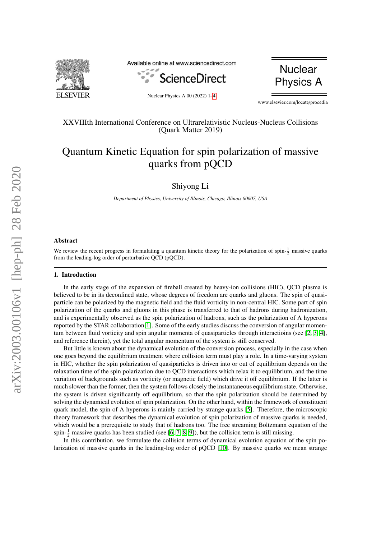

Available online at www.sciencedirect.com





Nuclear Physics A 00 (2022) 1[–4](#page-3-0)

www.elsevier.com/locate/procedia

# XXVIIIth International Conference on Ultrarelativistic Nucleus-Nucleus Collisions (Quark Matter 2019)

# Quantum Kinetic Equation for spin polarization of massive quarks from pQCD

Shiyong Li

*Department of Physics, University of Illinois, Chicago, Illinois 60607, USA*

### Abstract

We review the recent progress in formulating a quantum kinetic theory for the polarization of spin- $\frac{1}{2}$  massive quarks from the leading-log order of perturbative QCD (pQCD).

#### 1. Introduction

In the early stage of the expansion of fireball created by heavy-ion collisions (HIC), QCD plasma is believed to be in its deconfined state, whose degrees of freedom are quarks and gluons. The spin of quasiparticle can be polarized by the magnetic field and the fluid vorticity in non-central HIC. Some part of spin polarization of the quarks and gluons in this phase is transferred to that of hadrons during hadronization, and is experimentally observed as the spin polarization of hadrons, such as the polarization of  $\Lambda$  hyperons reported by the STAR collaboration[\[1\]](#page-3-1). Some of the early studies discuss the conversion of angular momentum between fluid vorticity and spin angular momenta of quasiparticles through interactioins (see [\[2,](#page-3-2) [3,](#page-3-3) [4\]](#page-3-4), and reference therein), yet the total angular momentum of the system is still conserved.

But little is known about the dynamical evolution of the conversion process, especially in the case when one goes beyond the equilibrium treatment where collision term must play a role. In a time-varying system in HIC, whether the spin polarization of quasiparticles is driven into or out of equilibrium depends on the relaxation time of the spin polarization due to QCD interactions which relax it to equilibrium, and the time variation of backgrounds such as vorticity (or magnetic field) which drive it off equilibrium. If the latter is much slower than the former, then the system follows closely the instantaneous equilibrium state. Otherwise, the system is driven significantly off equilibrium, so that the spin polarization should be determined by solving the dynamical evolution of spin polarization. On the other hand, within the framework of constituent quark model, the spin of  $\Lambda$  hyperons is mainly carried by strange quarks [\[5\]](#page-3-5). Therefore, the microscopic theory framework that describes the dynamical evolution of spin polarization of massive quarks is needed, which would be a prerequisite to study that of hadrons too. The free streaming Boltzmann equation of the spin- $\frac{1}{2}$  massive quarks has been studied (see [\[6,](#page-3-6) [7,](#page-3-7) [8,](#page-3-8) [9\]](#page-3-9)), but the collision term is still missing.

In this contribution, we formulate the collision terms of dynamical evolution equation of the spin polarization of massive quarks in the leading-log order of pQCD [\[10\]](#page-3-10). By massive quarks we mean strange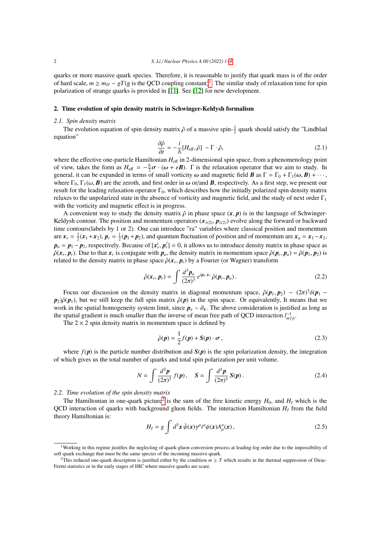quarks or more massive quark species. Therefore, it is reasonable to justify that quark mass is of the order of hard scale,  $m \ge m_D \sim gT(g$  is the QCD coupling constant)<sup>[1](#page-1-0)</sup>. The similar study of relaxation time for spin polarization of strange quarks is provided in [\[11\]](#page-3-11). See [\[12\]](#page-3-12) for new development.

#### 2. Time evolution of spin density matrix in Schwinger-Keldysh formalism

#### *2.1. Spin density matrix*

The evolution equation of spin density matrix  $\hat{\rho}$  of a massive spin- $\frac{1}{2}$  quark should satisfy the "Lindblad ation" equation"

$$
\frac{\partial \hat{\rho}}{\partial t} = -\frac{i}{\hbar} [H_{\text{eff}}, \hat{\rho}] - \Gamma \cdot \hat{\rho}, \qquad (2.1)
$$

 $\frac{\partial t}{\partial t}$   $\hbar^{12}$   $\epsilon^{12}$ ,  $\epsilon^{13}$ ,  $\epsilon^{14}$ ,  $\epsilon^{15}$ ,  $\epsilon^{16}$ ,  $\epsilon^{17}$ ,  $\epsilon^{18}$ ,  $\epsilon^{18}$ ,  $\epsilon^{19}$ ,  $\epsilon^{19}$ , where the effective one-particle Hamiltonian *H*<sub>eff</sub> in 2-dimensional spin space, from a phenomen of view, takes the form as  $H_{\text{eff}} = -\frac{\hbar}{2}\sigma \cdot (\omega + e\mathbf{B})$ .  $\Gamma$  is the relaxation operator that we aim to study. In general it can be expanded in terms of small vorticity  $\omega$  and magnetic field  $\mathbf{R}$  as  $\Gamma = \Gamma_0 + \Gamma_$ general, it can be expanded in terms of small vorticity  $\omega$  and magnetic field *B* as  $\Gamma = \Gamma_0 + \Gamma_1(\omega, B) + \cdots$ , where  $\Gamma_0$ ,  $\Gamma_1(\omega, \mathbf{B})$  are the zeroth, and first order in  $\omega$  or/and **B**, respectively. As a first step, we present our result for the leading relaxation operator  $\Gamma_0$ , which describes how the initially polarized spin density matrix relaxes to the unpolarized state in the absence of vorticity and magnetic field, and the study of next order  $\Gamma_1$ with the vorticity and magnetic effect is in progress.

A convenient way to study the density matrix  $\hat{\rho}$  in phase space  $(x, p)$  is in the language of Schwinger-Keldysh contour. The position and momentum operators  $(x_{1(2)}, p_{1(2)})$  evolve along the forward or backward time contours(labels by 1 or 2). One can introduce "ra" variables where classical position and momentum are  $\mathbf{x}_r = \frac{1}{2}(\mathbf{x}_1 + \mathbf{x}_2)$ ,  $\mathbf{p}_r = \frac{1}{2}(\mathbf{p}_1 + \mathbf{p}_2)$ , and quantum fluctuation of position and of momentum are  $\mathbf{x}_a = \mathbf{x}_1 - \mathbf{x}_2$ ,  $p_a = p_1 - p_2$ , respectively. Because of  $[x^i, p^j] = 0$ , it allows us to introduce density matrix in phase space as  $\hat{\rho}(\mathbf{r} \cdot \mathbf{n})$ . Due to that  $\mathbf{r}$  is conjugate with  $\mathbf{n}$ , the density matrix in momentum space  $\hat{\rho}(\mathbf{x}_r, \mathbf{p}_r)$ . Due to that  $\mathbf{x}_r$  is conjugate with  $\mathbf{p}_a$ , the density matrix in momentum space  $\hat{\rho}(\mathbf{p}_r, \mathbf{p}_a) = \hat{\rho}(\mathbf{p}_1, \mathbf{p}_2)$  is related to the density matrix in phase space  $\hat{\rho}(\mathbf{r} \cdot \math$ related to the density matrix in phase space  $\hat{\rho}(x_r, p_r)$  by a Fourier (or Wagner) transform

$$
\hat{\rho}(\boldsymbol{x}_r, \boldsymbol{p}_r) = \int \frac{d^3 \boldsymbol{p}_a}{(2\pi)^3} e^{i \boldsymbol{p}_a \cdot \boldsymbol{x}_r} \hat{\rho}(\boldsymbol{p}_r, \boldsymbol{p}_a). \tag{2.2}
$$

Focus our discussion on the density matrix in diagonal momentum space,  $\hat{\rho}(\mathbf{p}_1, \mathbf{p}_2) \sim (2\pi)^3 \delta(\mathbf{p}_1 - \hat{\mathbf{n}})$ <br> $\hat{\rho}(\mathbf{p}_1)$  but we still keen the full spin matrix  $\hat{\rho}(\mathbf{p})$  in the spin space. Or equivalen  $p_2$ ) $\hat{\rho}(\mathbf{p}_1)$ , but we still keep the full spin matrix  $\hat{\rho}(\mathbf{p})$  in the spin space. Or equivalently, It means that we work in the spatial homogeneity system limit, since  $p_a \sim \partial_x$ . The above consideration is justified as long as the spatial gradient is much smaller than the inverse of mean free path of QCD interaction  $l_{mfp}^{-1}$ .

The  $2 \times 2$  spin density matrix in momentum space is defined by

$$
\hat{\rho}(\mathbf{p}) = \frac{1}{2} f(\mathbf{p}) + \mathbf{S}(\mathbf{p}) \cdot \boldsymbol{\sigma},\tag{2.3}
$$

where  $f(p)$  is the particle number distribution and  $S(p)$  is the spin polarization density, the integration of which gives us the total number of quarks and total spin polarization per unit volume.

$$
N = \int \frac{d^3 \mathbf{p}}{(2\pi)^3} f(\mathbf{p}), \quad \mathbf{S} = \int \frac{d^3 \mathbf{p}}{(2\pi)^3} \mathbf{S}(\mathbf{p}). \tag{2.4}
$$

*2.2. Time evolution of the spin density matrix*

The Hamiltonian in one-quark picture<sup>[2](#page-1-1)</sup> is the sum of the free kinetic energy  $H_0$ , and  $H_I$  which is the QCD interaction of quarks with background gluon fields. The interaction Hamiltonian *H<sup>I</sup>* from the field theory Hamiltonian is:

<span id="page-1-2"></span>
$$
H_I = g \int d^3x \,\bar{\psi}(x) \gamma^{\mu} t^a \psi(x) A^a_{\mu}(x) \,, \tag{2.5}
$$

<span id="page-1-0"></span><sup>&</sup>lt;sup>1</sup>Working in this regime justifies the neglecting of quark-gluon conversion process at leading-log order due to the impossibility of soft quark exchange that must be the same species of the incoming massive quark.

<span id="page-1-1"></span><sup>&</sup>lt;sup>2</sup>This reduced one-quark description is justified either by the condition  $m \geq T$  which results in the thermal suppression of Dirac-Fermi statistics or in the early stages of HIC where massive quarks are scare.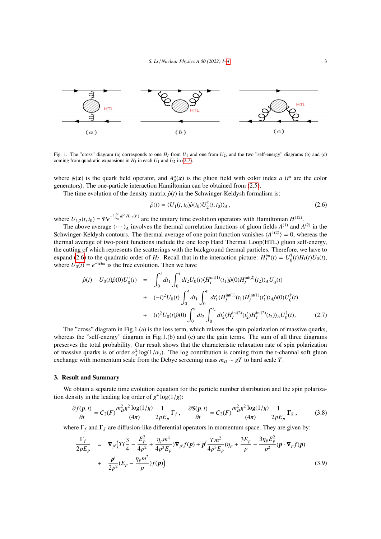

Fig. 1. The "cross" diagram (a) corresponds to one  $H_I$  from  $U_1$  and one from  $U_2$ , and the two "self-energy" diagrams (b) and (c) coming from quadratic expansions in  $H_I$  in each  $U_1$  and  $U_2$  in [\(2.7\)](#page-2-0).

where  $\psi(x)$  is the quark field operator, and  $A^a_\mu(x)$  is the gluon field with color index *a* ( $t^a$  are the color generators). The one-particle interaction Hamiltonian can be obtained from (2.5). generators). The one-particle interaction Hamiltonian can be obtained from [\(2.5\)](#page-1-2).

The time evolution of the density matrix  $\hat{\rho}(t)$  in the Schwinger-Keldysh formalism is:

<span id="page-2-1"></span>
$$
\hat{\rho}(t) = \langle U_1(t, t_0)\hat{\rho}(t_0)U_2^{\dagger}(t, t_0)\rangle_A, \qquad (2.6)
$$

where  $U_{1,2}(t, t_0) = \mathcal{P}e^{-i\int_{t_0}^t dt' H_{1,2}(t')}$  are the unitary time evolution operators with Hamiltonian  $H^{1(2)}$ .<br>The above average  $\langle \ldots \rangle$  involves the thermal correlation functions of gluon fields  $A^{(1)}$  and A

The above average  $\langle \cdots \rangle_A$  involves the thermal correlation functions of gluon fields  $A^{(1)}$  and  $A^{(2)}$  in the Schwinger-Keldysh contours. The thermal average of one point function vanishes  $\langle A^{1(2)} \rangle = 0$ , whereas the thermal average of two-point functions include the one loop Hard Thermal Loop(HTL) gluon self-energy, the cutting of which represents the scatterings with the background thermal particles. Therefore, we have to expand [\(2.6\)](#page-2-1) to the quadratic order of  $H_I$ . Recall that in the interaction picture:  $H_I^{int}(t) = U_0^{\dagger}$  $U_0^{\dagger}(t)H_I(t)U_0(t),$ where  $U_0(t) = e^{-iH_0t}$  is the free evolution. Then we have

<span id="page-2-0"></span>
$$
\hat{\rho}(t) - U_0(t)\hat{\rho}(0)U_0^{\dagger}(t) = \int_0^t dt_1 \int_0^t dt_2 U_0(t) \langle H_I^{\text{int}(1)}(t_1)\hat{\rho}(0)H_I^{\text{int}(2)}(t_2)\rangle_A U_0^{\dagger}(t) \n+ (-i)^2 U_0(t) \int_0^t dt_1 \int_0^{t_1} dt'_1 \langle H_I^{\text{int}(1)}(t_1)H_I^{\text{int}(1)}(t'_1)\rangle_A \hat{\rho}(0)U_0^{\dagger}(t) \n+ (i)^2 U_0(t)\hat{\rho}(0) \int_0^t dt_2 \int_0^{t_2} dt'_2 \langle H_I^{\text{int}(2)}(t'_2)H_I^{\text{int}(2)}(t_2)\rangle_A U_0^{\dagger}(t),
$$
\n(2.7)

The "cross" diagram in Fig.1.(a) is the loss term, which relaxes the spin polarization of massive quarks, whereas the "self-energy" diagram in Fig.1.(b) and (c) are the gain terms. The sum of all three diagrams preserves the total probability. Our result shows that the characteristic relaxation rate of spin polarization of massive quarks is of order  $\alpha_s^2 \log(1/\alpha_s)$ . The log contribution is coming from the t-channal soft gluon exchange with momentum scale from the Debye screening mass  $m \approx aT$  to hard scale T exchange with momentum scale from the Debye screening mass  $m_D \sim gT$  to hard scale *T*.

## 3. Result and Summary

We obtain a separate time evolution equation for the particle number distribution and the spin polarization density in the leading log order of  $g^4 \log(1/g)$ :

$$
\frac{\partial f(\mathbf{p},t)}{\partial t} = C_2(F) \frac{m_D^2 g^2 \log(1/g)}{(4\pi)} \frac{1}{2pE_p} \Gamma_f, \quad \frac{\partial S(\mathbf{p},t)}{\partial t} = C_2(F) \frac{m_D^2 g^2 \log(1/g)}{(4\pi)} \frac{1}{2pE_p} \Gamma_s, \tag{3.8}
$$

where  $\Gamma_f$  and  $\Gamma_S$  are diffusion-like differential operators in momentum space. They are given by:

$$
\frac{\Gamma_f}{2pE_p} = \nabla_{p'} \Big( T(\frac{3}{4} - \frac{E_p^2}{4p^2} + \frac{\eta_p m^4}{4p^3 E_p}) \nabla_{p'} f(p) + p^i \frac{Tm^2}{4p^3 E_p} (\eta_p + \frac{3E_p}{p} - \frac{3\eta_p E_p^2}{p^2}) p \cdot \nabla_p f(p) + \frac{p^i}{2p^2} (E_p - \frac{\eta_p m^2}{p}) f(p) \Big)
$$
\n(3.9)